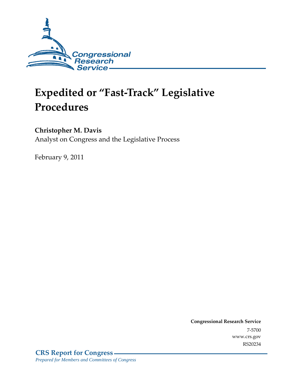

## **Expedited or "Fast-Track" Legislative Procedures**

## **Christopher M. Davis**

Analyst on Congress and the Legislative Process

February 9, 2011

**Congressional Research Service** 7-5700 www.crs.gov RS20234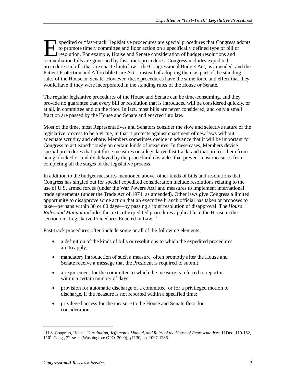xpedited or "fast-track" legislative procedures are special procedures that Congress adopts to promote timely committee and floor action on a specifically defined type of bill or resolution. For example, House and Senate consideration of budget resolutions and Improved are special procedures that Congress that Congress to promote timely committee and floor action on a specifically defined type of bills resolution. For example, House and Senate consideration of budget resolutions procedures in bills that are enacted into law—the Congressional Budget Act, as amended, and the Patient Protection and Affordable Care Act—instead of adopting them as part of the standing rules of the House or Senate. However, these procedures have the same force and effect that they would have if they were incorporated in the standing rules of the House or Senate.

The regular legislative procedures of the House and Senate can be time-consuming, and they provide no guarantee that every bill or resolution that is introduced will be considered quickly, or at all, in committee and on the floor. In fact, most bills are never considered, and only a small fraction are passed by the House and Senate and enacted into law.

Most of the time, most Representatives and Senators consider the slow and selective nature of the legislative process to be a virtue, in that it protects against enactment of new laws without adequate scrutiny and debate. Members sometimes decide in advance that it will be important for Congress to act expeditiously on certain kinds of measures. In these cases, Members devise special procedures that put those measures on a legislative fast track, and that protect them from being blocked or unduly delayed by the procedural obstacles that prevent most measures from completing all the stages of the legislative process.

In addition to the budget measures mentioned above, other kinds of bills and resolutions that Congress has singled out for special expedited consideration include resolutions relating to the use of U.S. armed forces (under the War Powers Act) and measures to implement international trade agreements (under the Trade Act of 1974, as amended). Other laws give Congress a limited opportunity to disapprove some action that an executive branch official has taken or proposes to take—perhaps within 30 or 60 days—by passing a joint resolution of disapproval. The *House Rules and Manual* includes the texts of expedited procedures applicable to the House in the section on "Legislative Procedures Enacted in Law."<sup>1</sup>

Fast-track procedures often include some or all of the following elements:

- a definition of the kinds of bills or resolutions to which the expedited procedures are to apply;
- mandatory introduction of such a measure, often promptly after the House and Senate receive a message that the President is required to submit;
- a requirement for the committee to which the measure is referred to report it within a certain number of days;
- provision for automatic discharge of a committee, or for a privileged motion to discharge, if the measure is not reported within a specified time;
- privileged access for the measure to the House and Senate floor for consideration;

1

<sup>&</sup>lt;sup>1</sup> U.S. Congress, House, *Constitution, Jefferson's Manual, and Rules of the House of Representatives*, H.Doc. 110-162, 110th Cong., 2nd sess. (Washington: GPO, 2009), §1130, pp. 1097-1266.